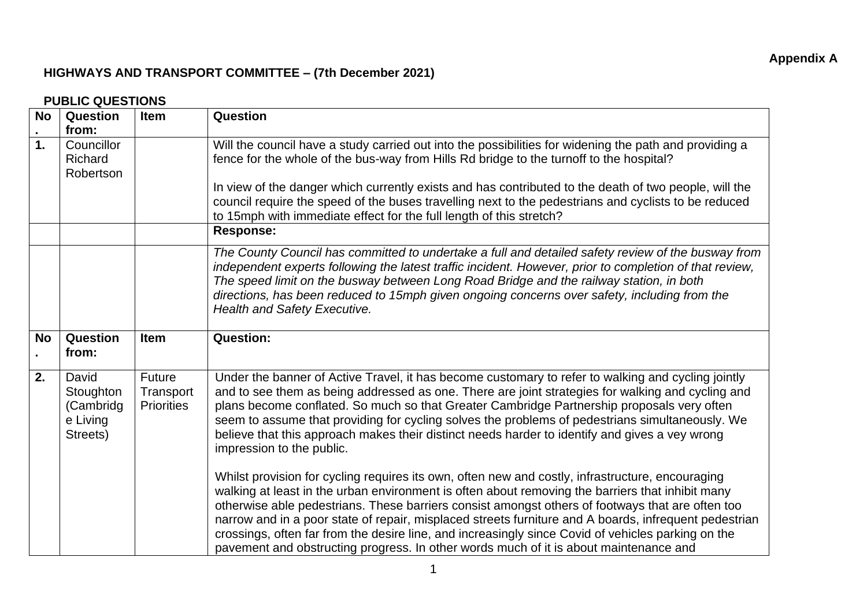## **HIGHWAYS AND TRANSPORT COMMITTEE – (7th December 2021)**

|                        | PUBLIC QUESTIUNS                                        |                                                 |                                                                                                                                                                                                                                                                                                                                                                                                                                                                                                                                                                                                                  |  |  |
|------------------------|---------------------------------------------------------|-------------------------------------------------|------------------------------------------------------------------------------------------------------------------------------------------------------------------------------------------------------------------------------------------------------------------------------------------------------------------------------------------------------------------------------------------------------------------------------------------------------------------------------------------------------------------------------------------------------------------------------------------------------------------|--|--|
| <b>No</b><br>$\bullet$ | <b>Question</b><br>from:                                | <b>Item</b>                                     | Question                                                                                                                                                                                                                                                                                                                                                                                                                                                                                                                                                                                                         |  |  |
| $\mathbf 1$            | Councillor<br>Richard<br>Robertson                      |                                                 | Will the council have a study carried out into the possibilities for widening the path and providing a<br>fence for the whole of the bus-way from Hills Rd bridge to the turnoff to the hospital?                                                                                                                                                                                                                                                                                                                                                                                                                |  |  |
|                        |                                                         |                                                 | In view of the danger which currently exists and has contributed to the death of two people, will the<br>council require the speed of the buses travelling next to the pedestrians and cyclists to be reduced<br>to 15mph with immediate effect for the full length of this stretch?                                                                                                                                                                                                                                                                                                                             |  |  |
|                        |                                                         |                                                 | <b>Response:</b>                                                                                                                                                                                                                                                                                                                                                                                                                                                                                                                                                                                                 |  |  |
|                        |                                                         |                                                 | The County Council has committed to undertake a full and detailed safety review of the busway from<br>independent experts following the latest traffic incident. However, prior to completion of that review,<br>The speed limit on the busway between Long Road Bridge and the railway station, in both<br>directions, has been reduced to 15mph given ongoing concerns over safety, including from the<br><b>Health and Safety Executive.</b>                                                                                                                                                                  |  |  |
| <b>No</b>              | Question<br>from:                                       | <b>Item</b>                                     | <b>Question:</b>                                                                                                                                                                                                                                                                                                                                                                                                                                                                                                                                                                                                 |  |  |
| 2.                     | David<br>Stoughton<br>(Cambridg<br>e Living<br>Streets) | <b>Future</b><br>Transport<br><b>Priorities</b> | Under the banner of Active Travel, it has become customary to refer to walking and cycling jointly<br>and to see them as being addressed as one. There are joint strategies for walking and cycling and<br>plans become conflated. So much so that Greater Cambridge Partnership proposals very often<br>seem to assume that providing for cycling solves the problems of pedestrians simultaneously. We<br>believe that this approach makes their distinct needs harder to identify and gives a vey wrong<br>impression to the public.                                                                          |  |  |
|                        |                                                         |                                                 | Whilst provision for cycling requires its own, often new and costly, infrastructure, encouraging<br>walking at least in the urban environment is often about removing the barriers that inhibit many<br>otherwise able pedestrians. These barriers consist amongst others of footways that are often too<br>narrow and in a poor state of repair, misplaced streets furniture and A boards, infrequent pedestrian<br>crossings, often far from the desire line, and increasingly since Covid of vehicles parking on the<br>pavement and obstructing progress. In other words much of it is about maintenance and |  |  |

## **PUBLIC QUESTIONS**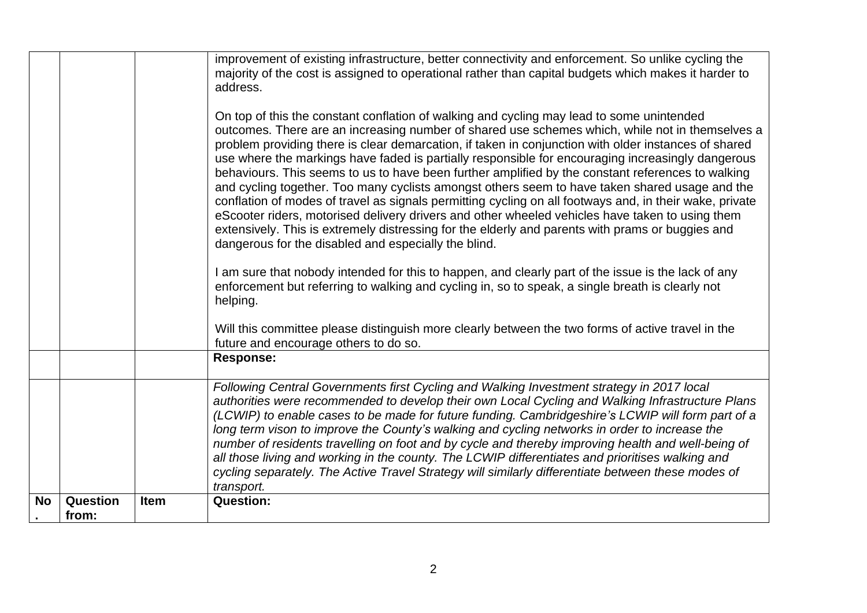|           |                          |             | improvement of existing infrastructure, better connectivity and enforcement. So unlike cycling the<br>majority of the cost is assigned to operational rather than capital budgets which makes it harder to<br>address.<br>On top of this the constant conflation of walking and cycling may lead to some unintended<br>outcomes. There are an increasing number of shared use schemes which, while not in themselves a<br>problem providing there is clear demarcation, if taken in conjunction with older instances of shared<br>use where the markings have faded is partially responsible for encouraging increasingly dangerous<br>behaviours. This seems to us to have been further amplified by the constant references to walking<br>and cycling together. Too many cyclists amongst others seem to have taken shared usage and the<br>conflation of modes of travel as signals permitting cycling on all footways and, in their wake, private |
|-----------|--------------------------|-------------|-------------------------------------------------------------------------------------------------------------------------------------------------------------------------------------------------------------------------------------------------------------------------------------------------------------------------------------------------------------------------------------------------------------------------------------------------------------------------------------------------------------------------------------------------------------------------------------------------------------------------------------------------------------------------------------------------------------------------------------------------------------------------------------------------------------------------------------------------------------------------------------------------------------------------------------------------------|
|           |                          |             | eScooter riders, motorised delivery drivers and other wheeled vehicles have taken to using them<br>extensively. This is extremely distressing for the elderly and parents with prams or buggies and<br>dangerous for the disabled and especially the blind.<br>I am sure that nobody intended for this to happen, and clearly part of the issue is the lack of any<br>enforcement but referring to walking and cycling in, so to speak, a single breath is clearly not<br>helping.                                                                                                                                                                                                                                                                                                                                                                                                                                                                    |
|           |                          |             | Will this committee please distinguish more clearly between the two forms of active travel in the<br>future and encourage others to do so.                                                                                                                                                                                                                                                                                                                                                                                                                                                                                                                                                                                                                                                                                                                                                                                                            |
|           |                          |             | <b>Response:</b>                                                                                                                                                                                                                                                                                                                                                                                                                                                                                                                                                                                                                                                                                                                                                                                                                                                                                                                                      |
|           |                          |             | Following Central Governments first Cycling and Walking Investment strategy in 2017 local<br>authorities were recommended to develop their own Local Cycling and Walking Infrastructure Plans<br>(LCWIP) to enable cases to be made for future funding. Cambridgeshire's LCWIP will form part of a<br>long term vison to improve the County's walking and cycling networks in order to increase the<br>number of residents travelling on foot and by cycle and thereby improving health and well-being of<br>all those living and working in the county. The LCWIP differentiates and prioritises walking and<br>cycling separately. The Active Travel Strategy will similarly differentiate between these modes of<br>transport.                                                                                                                                                                                                                     |
| <b>No</b> | <b>Question</b><br>from: | <b>Item</b> | <b>Question:</b>                                                                                                                                                                                                                                                                                                                                                                                                                                                                                                                                                                                                                                                                                                                                                                                                                                                                                                                                      |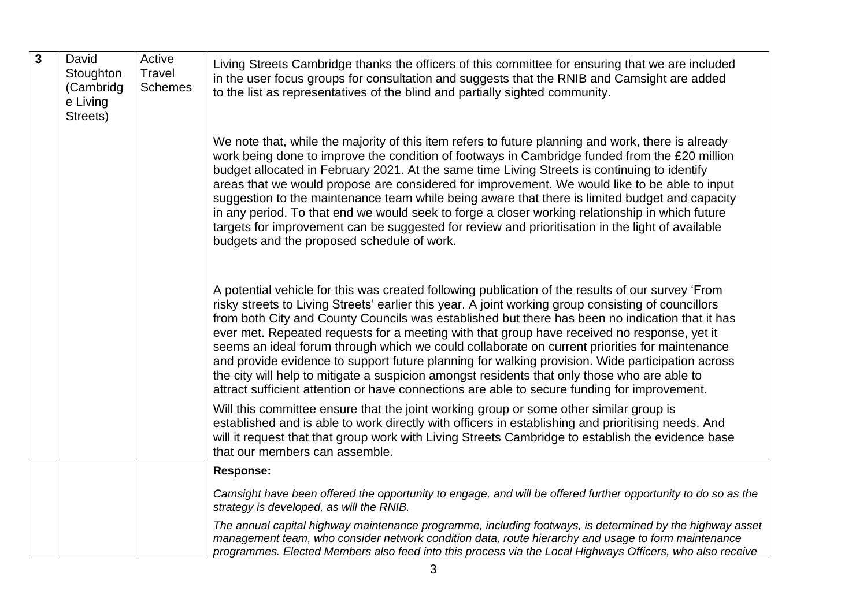| $\mathbf{3}$ | David<br>Stoughton<br>(Cambridg<br>e Living<br>Streets) | Active<br>Travel<br><b>Schemes</b> | Living Streets Cambridge thanks the officers of this committee for ensuring that we are included<br>in the user focus groups for consultation and suggests that the RNIB and Camsight are added<br>to the list as representatives of the blind and partially sighted community.                                                                                                                                                                                                                                                                                                                                                                                                                                                                                                                                 |
|--------------|---------------------------------------------------------|------------------------------------|-----------------------------------------------------------------------------------------------------------------------------------------------------------------------------------------------------------------------------------------------------------------------------------------------------------------------------------------------------------------------------------------------------------------------------------------------------------------------------------------------------------------------------------------------------------------------------------------------------------------------------------------------------------------------------------------------------------------------------------------------------------------------------------------------------------------|
|              |                                                         |                                    | We note that, while the majority of this item refers to future planning and work, there is already<br>work being done to improve the condition of footways in Cambridge funded from the £20 million<br>budget allocated in February 2021. At the same time Living Streets is continuing to identify<br>areas that we would propose are considered for improvement. We would like to be able to input<br>suggestion to the maintenance team while being aware that there is limited budget and capacity<br>in any period. To that end we would seek to forge a closer working relationship in which future<br>targets for improvement can be suggested for review and prioritisation in the light of available<br>budgets and the proposed schedule of work.                                                     |
|              |                                                         |                                    | A potential vehicle for this was created following publication of the results of our survey 'From<br>risky streets to Living Streets' earlier this year. A joint working group consisting of councillors<br>from both City and County Councils was established but there has been no indication that it has<br>ever met. Repeated requests for a meeting with that group have received no response, yet it<br>seems an ideal forum through which we could collaborate on current priorities for maintenance<br>and provide evidence to support future planning for walking provision. Wide participation across<br>the city will help to mitigate a suspicion amongst residents that only those who are able to<br>attract sufficient attention or have connections are able to secure funding for improvement. |
|              |                                                         |                                    | Will this committee ensure that the joint working group or some other similar group is<br>established and is able to work directly with officers in establishing and prioritising needs. And<br>will it request that that group work with Living Streets Cambridge to establish the evidence base<br>that our members can assemble.                                                                                                                                                                                                                                                                                                                                                                                                                                                                             |
|              |                                                         |                                    | <b>Response:</b>                                                                                                                                                                                                                                                                                                                                                                                                                                                                                                                                                                                                                                                                                                                                                                                                |
|              |                                                         |                                    | Camsight have been offered the opportunity to engage, and will be offered further opportunity to do so as the<br>strategy is developed, as will the RNIB.                                                                                                                                                                                                                                                                                                                                                                                                                                                                                                                                                                                                                                                       |
|              |                                                         |                                    | The annual capital highway maintenance programme, including footways, is determined by the highway asset<br>management team, who consider network condition data, route hierarchy and usage to form maintenance<br>programmes. Elected Members also feed into this process via the Local Highways Officers, who also receive                                                                                                                                                                                                                                                                                                                                                                                                                                                                                    |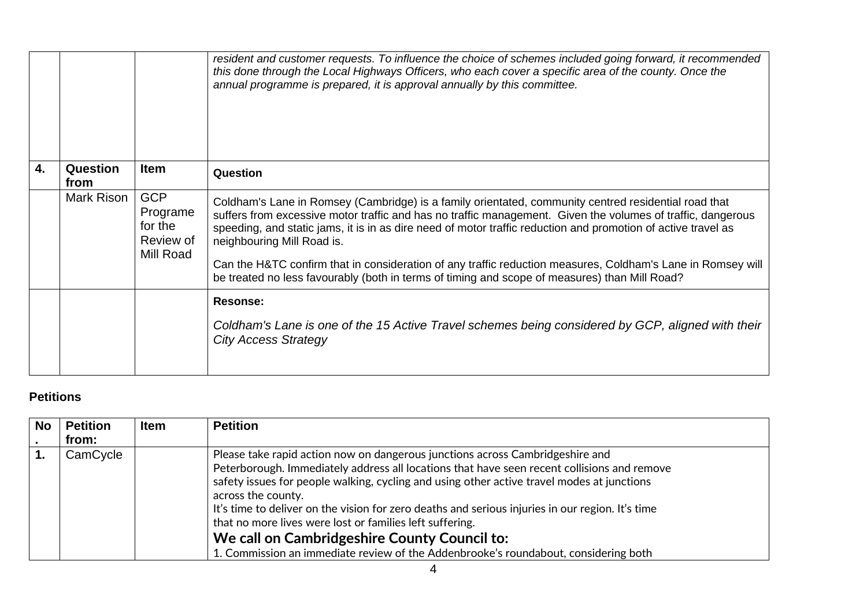|    |                         |                                                             | resident and customer requests. To influence the choice of schemes included going forward, it recommended<br>this done through the Local Highways Officers, who each cover a specific area of the county. Once the<br>annual programme is prepared, it is approval annually by this committee.                                                                                                                                                                                                                                                                                     |
|----|-------------------------|-------------------------------------------------------------|------------------------------------------------------------------------------------------------------------------------------------------------------------------------------------------------------------------------------------------------------------------------------------------------------------------------------------------------------------------------------------------------------------------------------------------------------------------------------------------------------------------------------------------------------------------------------------|
| 4. | <b>Question</b><br>from | <b>Item</b>                                                 | Question                                                                                                                                                                                                                                                                                                                                                                                                                                                                                                                                                                           |
|    | Mark Rison              | <b>GCP</b><br>Programe<br>for the<br>Review of<br>Mill Road | Coldham's Lane in Romsey (Cambridge) is a family orientated, community centred residential road that<br>suffers from excessive motor traffic and has no traffic management. Given the volumes of traffic, dangerous<br>speeding, and static jams, it is in as dire need of motor traffic reduction and promotion of active travel as<br>neighbouring Mill Road is.<br>Can the H&TC confirm that in consideration of any traffic reduction measures, Coldham's Lane in Romsey will<br>be treated no less favourably (both in terms of timing and scope of measures) than Mill Road? |
|    |                         |                                                             | <b>Resonse:</b>                                                                                                                                                                                                                                                                                                                                                                                                                                                                                                                                                                    |
|    |                         |                                                             | Coldham's Lane is one of the 15 Active Travel schemes being considered by GCP, aligned with their<br><b>City Access Strategy</b>                                                                                                                                                                                                                                                                                                                                                                                                                                                   |

## **Petitions**

| <b>No</b>    | <b>Petition</b><br>from: | <b>Item</b> | <b>Petition</b>                                                                                                                                                                                                                                                                                                                                                                                                                                                                                                                                                                                         |  |
|--------------|--------------------------|-------------|---------------------------------------------------------------------------------------------------------------------------------------------------------------------------------------------------------------------------------------------------------------------------------------------------------------------------------------------------------------------------------------------------------------------------------------------------------------------------------------------------------------------------------------------------------------------------------------------------------|--|
| $\mathbf{1}$ | CamCycle                 |             | Please take rapid action now on dangerous junctions across Cambridgeshire and<br>Peterborough. Immediately address all locations that have seen recent collisions and remove<br>safety issues for people walking, cycling and using other active travel modes at junctions<br>across the county.<br>It's time to deliver on the vision for zero deaths and serious injuries in our region. It's time<br>that no more lives were lost or families left suffering.<br>We call on Cambridgeshire County Council to:<br>1. Commission an immediate review of the Addenbrooke's roundabout, considering both |  |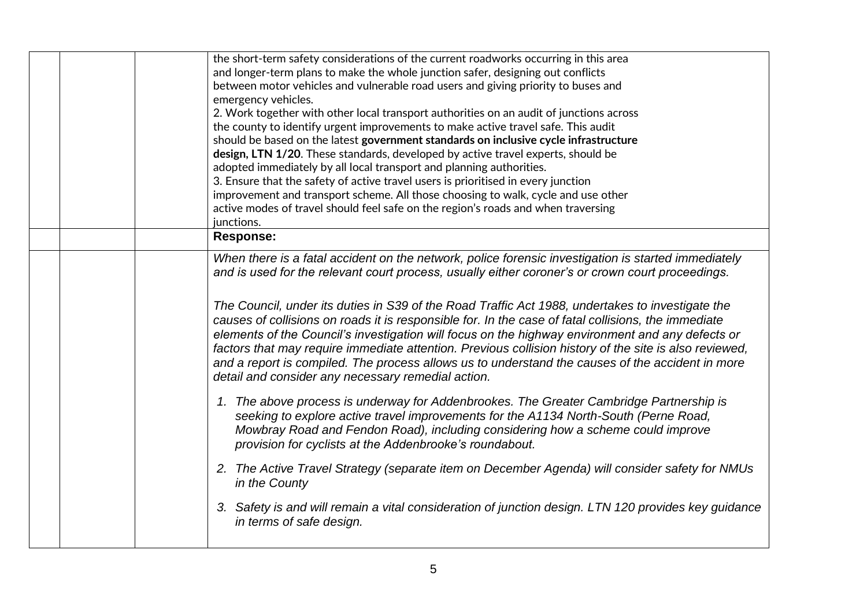|  | the short-term safety considerations of the current roadworks occurring in this area                                                                                                                                                                                                                                                                                                                                                                                                                                                                                            |
|--|---------------------------------------------------------------------------------------------------------------------------------------------------------------------------------------------------------------------------------------------------------------------------------------------------------------------------------------------------------------------------------------------------------------------------------------------------------------------------------------------------------------------------------------------------------------------------------|
|  | and longer-term plans to make the whole junction safer, designing out conflicts                                                                                                                                                                                                                                                                                                                                                                                                                                                                                                 |
|  | between motor vehicles and vulnerable road users and giving priority to buses and                                                                                                                                                                                                                                                                                                                                                                                                                                                                                               |
|  | emergency vehicles.                                                                                                                                                                                                                                                                                                                                                                                                                                                                                                                                                             |
|  | 2. Work together with other local transport authorities on an audit of junctions across                                                                                                                                                                                                                                                                                                                                                                                                                                                                                         |
|  | the county to identify urgent improvements to make active travel safe. This audit                                                                                                                                                                                                                                                                                                                                                                                                                                                                                               |
|  | should be based on the latest government standards on inclusive cycle infrastructure                                                                                                                                                                                                                                                                                                                                                                                                                                                                                            |
|  | design, LTN 1/20. These standards, developed by active travel experts, should be                                                                                                                                                                                                                                                                                                                                                                                                                                                                                                |
|  | adopted immediately by all local transport and planning authorities.                                                                                                                                                                                                                                                                                                                                                                                                                                                                                                            |
|  | 3. Ensure that the safety of active travel users is prioritised in every junction                                                                                                                                                                                                                                                                                                                                                                                                                                                                                               |
|  | improvement and transport scheme. All those choosing to walk, cycle and use other                                                                                                                                                                                                                                                                                                                                                                                                                                                                                               |
|  | active modes of travel should feel safe on the region's roads and when traversing                                                                                                                                                                                                                                                                                                                                                                                                                                                                                               |
|  | junctions.                                                                                                                                                                                                                                                                                                                                                                                                                                                                                                                                                                      |
|  | <b>Response:</b>                                                                                                                                                                                                                                                                                                                                                                                                                                                                                                                                                                |
|  | When there is a fatal accident on the network, police forensic investigation is started immediately                                                                                                                                                                                                                                                                                                                                                                                                                                                                             |
|  | and is used for the relevant court process, usually either coroner's or crown court proceedings.                                                                                                                                                                                                                                                                                                                                                                                                                                                                                |
|  |                                                                                                                                                                                                                                                                                                                                                                                                                                                                                                                                                                                 |
|  | The Council, under its duties in S39 of the Road Traffic Act 1988, undertakes to investigate the<br>causes of collisions on roads it is responsible for. In the case of fatal collisions, the immediate<br>elements of the Council's investigation will focus on the highway environment and any defects or<br>factors that may require immediate attention. Previous collision history of the site is also reviewed,<br>and a report is compiled. The process allows us to understand the causes of the accident in more<br>detail and consider any necessary remedial action. |
|  | 1. The above process is underway for Addenbrookes. The Greater Cambridge Partnership is<br>seeking to explore active travel improvements for the A1134 North-South (Perne Road,<br>Mowbray Road and Fendon Road), including considering how a scheme could improve<br>provision for cyclists at the Addenbrooke's roundabout.                                                                                                                                                                                                                                                   |
|  | 2. The Active Travel Strategy (separate item on December Agenda) will consider safety for NMUs<br>in the County                                                                                                                                                                                                                                                                                                                                                                                                                                                                 |
|  | 3. Safety is and will remain a vital consideration of junction design. LTN 120 provides key guidance<br>in terms of safe design.                                                                                                                                                                                                                                                                                                                                                                                                                                                |
|  |                                                                                                                                                                                                                                                                                                                                                                                                                                                                                                                                                                                 |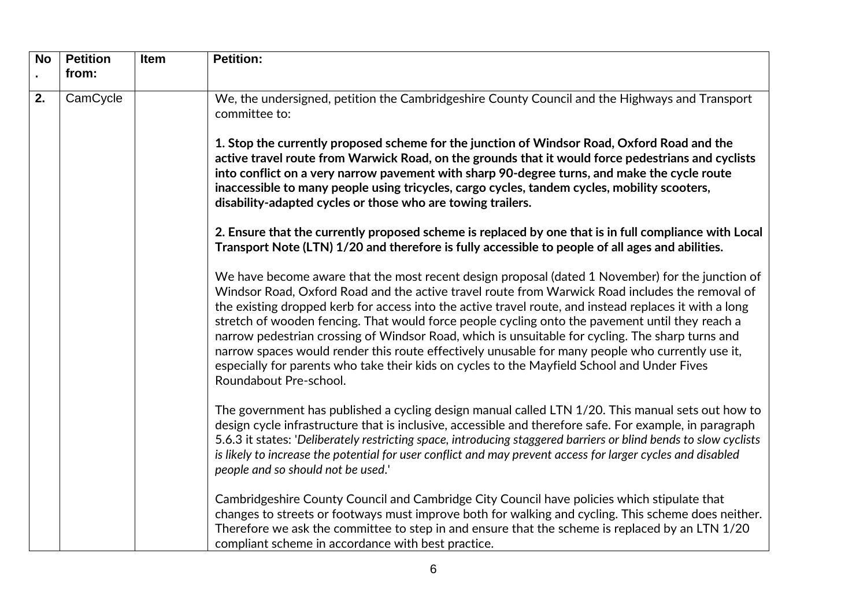| <b>No</b> | <b>Petition</b> | <b>Item</b> | <b>Petition:</b>                                                                                                                                                                                                                                                                                                                                                                                                                                                                                                                                                                                                                                                                                                                                  |
|-----------|-----------------|-------------|---------------------------------------------------------------------------------------------------------------------------------------------------------------------------------------------------------------------------------------------------------------------------------------------------------------------------------------------------------------------------------------------------------------------------------------------------------------------------------------------------------------------------------------------------------------------------------------------------------------------------------------------------------------------------------------------------------------------------------------------------|
|           | from:           |             |                                                                                                                                                                                                                                                                                                                                                                                                                                                                                                                                                                                                                                                                                                                                                   |
| 2.        | CamCycle        |             | We, the undersigned, petition the Cambridgeshire County Council and the Highways and Transport<br>committee to:                                                                                                                                                                                                                                                                                                                                                                                                                                                                                                                                                                                                                                   |
|           |                 |             | 1. Stop the currently proposed scheme for the junction of Windsor Road, Oxford Road and the<br>active travel route from Warwick Road, on the grounds that it would force pedestrians and cyclists<br>into conflict on a very narrow pavement with sharp 90-degree turns, and make the cycle route<br>inaccessible to many people using tricycles, cargo cycles, tandem cycles, mobility scooters,<br>disability-adapted cycles or those who are towing trailers.                                                                                                                                                                                                                                                                                  |
|           |                 |             | 2. Ensure that the currently proposed scheme is replaced by one that is in full compliance with Local<br>Transport Note (LTN) 1/20 and therefore is fully accessible to people of all ages and abilities.                                                                                                                                                                                                                                                                                                                                                                                                                                                                                                                                         |
|           |                 |             | We have become aware that the most recent design proposal (dated 1 November) for the junction of<br>Windsor Road, Oxford Road and the active travel route from Warwick Road includes the removal of<br>the existing dropped kerb for access into the active travel route, and instead replaces it with a long<br>stretch of wooden fencing. That would force people cycling onto the pavement until they reach a<br>narrow pedestrian crossing of Windsor Road, which is unsuitable for cycling. The sharp turns and<br>narrow spaces would render this route effectively unusable for many people who currently use it,<br>especially for parents who take their kids on cycles to the Mayfield School and Under Fives<br>Roundabout Pre-school. |
|           |                 |             | The government has published a cycling design manual called LTN 1/20. This manual sets out how to<br>design cycle infrastructure that is inclusive, accessible and therefore safe. For example, in paragraph<br>5.6.3 it states: 'Deliberately restricting space, introducing staggered barriers or blind bends to slow cyclists<br>is likely to increase the potential for user conflict and may prevent access for larger cycles and disabled<br>people and so should not be used.'                                                                                                                                                                                                                                                             |
|           |                 |             | Cambridgeshire County Council and Cambridge City Council have policies which stipulate that<br>changes to streets or footways must improve both for walking and cycling. This scheme does neither.<br>Therefore we ask the committee to step in and ensure that the scheme is replaced by an LTN 1/20<br>compliant scheme in accordance with best practice.                                                                                                                                                                                                                                                                                                                                                                                       |